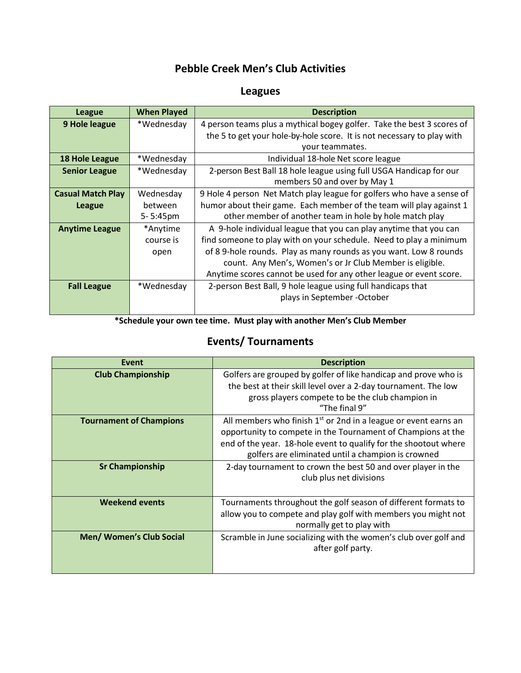### **Pebble Creek Men's Club Activities**

# **Leagues**

| <b>League</b>            | <b>When Played</b> | <b>Description</b>                                                     |
|--------------------------|--------------------|------------------------------------------------------------------------|
| 9 Hole league            | *Wednesday         | 4 person teams plus a mythical bogey golfer. Take the best 3 scores of |
|                          |                    | the 5 to get your hole-by-hole score. It is not necessary to play with |
|                          |                    | your teammates.                                                        |
| 18 Hole League           | *Wednesday         | Individual 18-hole Net score league                                    |
| <b>Senior League</b>     | *Wednesday         | 2-person Best Ball 18 hole league using full USGA Handicap for our     |
|                          |                    | members 50 and over by May 1                                           |
| <b>Casual Match Play</b> | Wednesday          | 9 Hole 4 person Net Match play league for golfers who have a sense of  |
| <b>League</b>            | between            | humor about their game. Each member of the team will play against 1    |
|                          | 5-5:45pm           | other member of another team in hole by hole match play                |
| <b>Anytime League</b>    | *Anytime           | A 9-hole individual league that you can play anytime that you can      |
|                          | course is          | find someone to play with on your schedule. Need to play a minimum     |
|                          | open               | of 8 9-hole rounds. Play as many rounds as you want. Low 8 rounds      |
|                          |                    | count. Any Men's, Women's or Jr Club Member is eligible.               |
|                          |                    | Anytime scores cannot be used for any other league or event score.     |
| <b>Fall League</b>       | *Wednesday         | 2-person Best Ball, 9 hole league using full handicaps that            |
|                          |                    | plays in September - October                                           |
|                          |                    |                                                                        |

**\*Schedule your own tee time. Must play with another Men's Club Member**

# **Events/ Tournaments**

| Event                           | <b>Description</b>                                                                                                                                                                                                                                          |
|---------------------------------|-------------------------------------------------------------------------------------------------------------------------------------------------------------------------------------------------------------------------------------------------------------|
| <b>Club Championship</b>        | Golfers are grouped by golfer of like handicap and prove who is<br>the best at their skill level over a 2-day tournament. The low<br>gross players compete to be the club champion in<br>"The final 9"                                                      |
| <b>Tournament of Champions</b>  | All members who finish $1st$ or 2nd in a league or event earns an<br>opportunity to compete in the Tournament of Champions at the<br>end of the year. 18-hole event to qualify for the shootout where<br>golfers are eliminated until a champion is crowned |
| <b>Sr Championship</b>          | 2-day tournament to crown the best 50 and over player in the<br>club plus net divisions                                                                                                                                                                     |
| <b>Weekend events</b>           | Tournaments throughout the golf season of different formats to<br>allow you to compete and play golf with members you might not<br>normally get to play with                                                                                                |
| <b>Men/ Women's Club Social</b> | Scramble in June socializing with the women's club over golf and<br>after golf party.                                                                                                                                                                       |